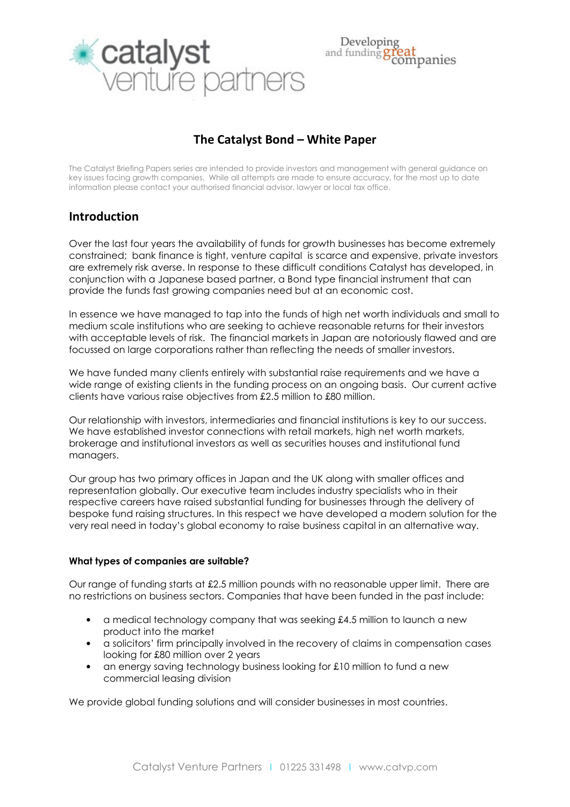

#### Developin and funding npanies

# The Catalyst Bond – White Paper

The Catalyst Briefing Papers series are intended to provide investors and management with general guidance on key issues facing growth companies. While all attempts are made to ensure accuracy, for the most up to date information please contact your authorised financial advisor, lawyer or local tax office.

## Introduction

Over the last four years the availability of funds for growth businesses has become extremely constrained; bank finance is tight, venture capital is scarce and expensive, private investors are extremely risk averse. In response to these difficult conditions Catalyst has developed, in conjunction with a Japanese based partner, a Bond type financial instrument that can provide the funds fast growing companies need but at an economic cost.

In essence we have managed to tap into the funds of high net worth individuals and small to medium scale institutions who are seeking to achieve reasonable returns for their investors with acceptable levels of risk. The financial markets in Japan are notoriously flawed and are focussed on large corporations rather than reflecting the needs of smaller investors.

We have funded many clients entirely with substantial raise requirements and we have a wide range of existing clients in the funding process on an ongoing basis. Our current active clients have various raise objectives from £2.5 million to £80 million.

Our relationship with investors, intermediaries and financial institutions is key to our success. We have established investor connections with retail markets, high net worth markets, brokerage and institutional investors as well as securities houses and institutional fund managers.

Our group has two primary offices in Japan and the UK along with smaller offices and representation globally. Our executive team includes industry specialists who in their respective careers have raised substantial funding for businesses through the delivery of bespoke fund raising structures. In this respect we have developed a modern solution for the very real need in today's global economy to raise business capital in an alternative way.

## What types of companies are suitable?

Our range of funding starts at £2.5 million pounds with no reasonable upper limit. There are no restrictions on business sectors. Companies that have been funded in the past include:

- a medical technology company that was seeking £4.5 million to launch a new product into the market
- a solicitors' firm principally involved in the recovery of claims in compensation cases looking for £80 million over 2 years
- an energy saving technology business looking for £10 million to fund a new commercial leasing division

We provide global funding solutions and will consider businesses in most countries.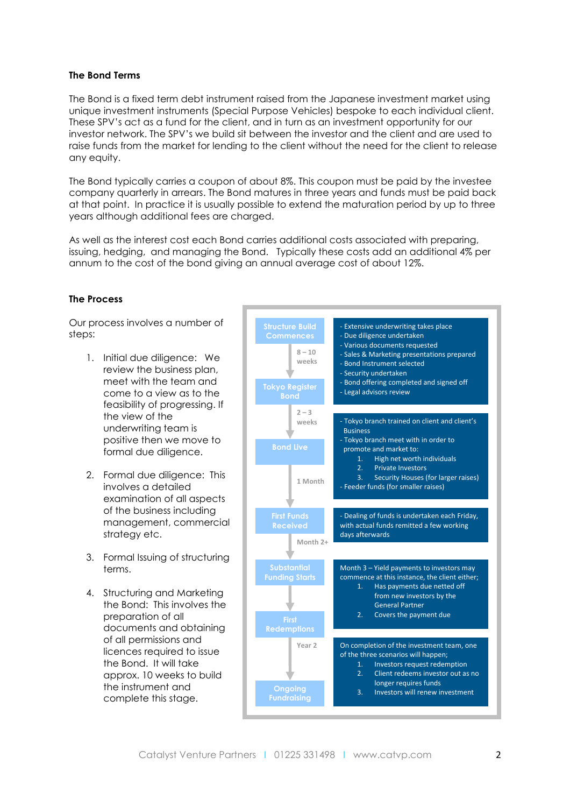#### The Bond Terms

The Bond is a fixed term debt instrument raised from the Japanese investment market using unique investment instruments (Special Purpose Vehicles) bespoke to each individual client. These SPV's act as a fund for the client, and in turn as an investment opportunity for our investor network. The SPV's we build sit between the investor and the client and are used to raise funds from the market for lending to the client without the need for the client to release any equity.

The Bond typically carries a coupon of about 8%. This coupon must be paid by the investee company quarterly in arrears. The Bond matures in three years and funds must be paid back at that point. In practice it is usually possible to extend the maturation period by up to three years although additional fees are charged.

As well as the interest cost each Bond carries additional costs associated with preparing, issuing, hedging, and managing the Bond. Typically these costs add an additional 4% per annum to the cost of the bond giving an annual average cost of about 12%.

### The Process

Our process involves a number of steps:

- 1. Initial due diligence: We review the business plan, meet with the team and come to a view as to the feasibility of progressing. If the view of the underwriting team is positive then we move to formal due diligence.
- 2. Formal due diligence: This involves a detailed examination of all aspects of the business including management, commercial strategy etc.
- 3. Formal Issuing of structuring terms.
- 4. Structuring and Marketing the Bond: This involves the preparation of all documents and obtaining of all permissions and licences required to issue the Bond. It will take approx. 10 weeks to build the instrument and complete this stage.